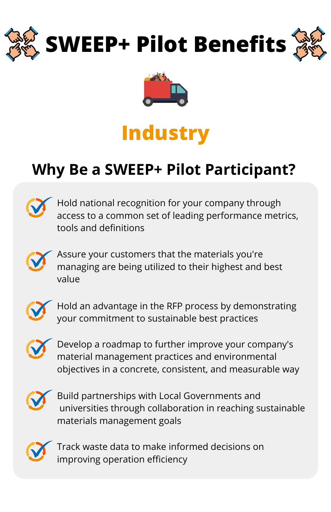



## **Industry**

## **Why Be a SWEEP+ Pilot Participant?**



Hold national recognition for your company through access to a common set of leading performance metrics, tools and definitions



Assure your customers that the materials you're managing are being utilized to their highest and best value



Hold an advantage in the RFP process by demonstrating your commitment to sustainable best practices



Develop a roadmap to further improve your company's material management practices and environmental objectives in a concrete, consistent, and measurable way



Build partnerships with Local Governments and universities through collaboration in reaching sustainable materials management goals



Track waste data to make informed decisions on improving operation efficiency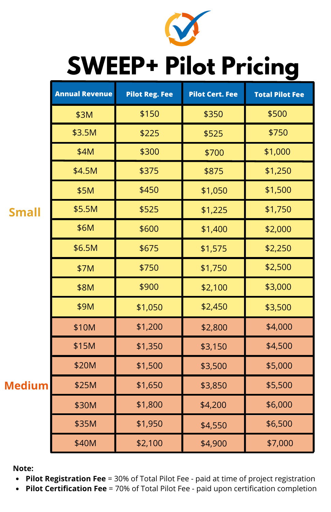

## **SWEEP+ Pilot Pricing**

|               | <b>Annual Revenue</b> | <b>Pilot Reg. Fee</b> | <b>Pilot Cert. Fee</b> | <b>Total Pilot Fee</b> |
|---------------|-----------------------|-----------------------|------------------------|------------------------|
| <b>Small</b>  | \$3M                  | \$150                 | \$350                  | \$500                  |
|               | \$3.5M                | \$225                 | \$525                  | \$750                  |
|               | \$4M                  | \$300                 | \$700                  | \$1,000                |
|               | \$4.5M                | \$375                 | \$875                  | \$1,250                |
|               | \$5M                  | \$450                 | \$1,050                | \$1,500                |
|               | \$5.5M                | \$525                 | \$1,225                | \$1,750                |
|               | \$6M                  | \$600                 | \$1,400                | \$2,000                |
|               | \$6.5M                | \$675                 | \$1,575                | \$2,250                |
|               | \$7M                  | \$750                 | \$1,750                | \$2,500                |
|               | \$8M                  | \$900                 | \$2,100                | \$3,000                |
|               | \$9M                  | \$1,050               | \$2,450                | \$3,500                |
| <b>Medium</b> | \$10M                 | \$1,200               | \$2,800                | \$4,000                |
|               | \$15M                 | \$1,350               | \$3,150                | \$4,500                |
|               | \$20M                 | \$1,500               | \$3,500                | \$5,000                |
|               | \$25M                 | \$1,650               | \$3,850                | \$5,500                |
|               | \$30M                 | \$1,800               | \$4,200                | \$6,000                |
|               | \$35M                 | \$1,950               | \$4,550                | \$6,500                |
|               | \$40M                 | \$2,100               | \$4,900                | \$7,000                |

**Note:**

- **Pilot Registration Fee** = 30% of Total Pilot Fee paid at time of project registration  $\bullet$
- **Pilot Certification Fee** = 70% of Total Pilot Fee paid upon certification completion  $\bullet$